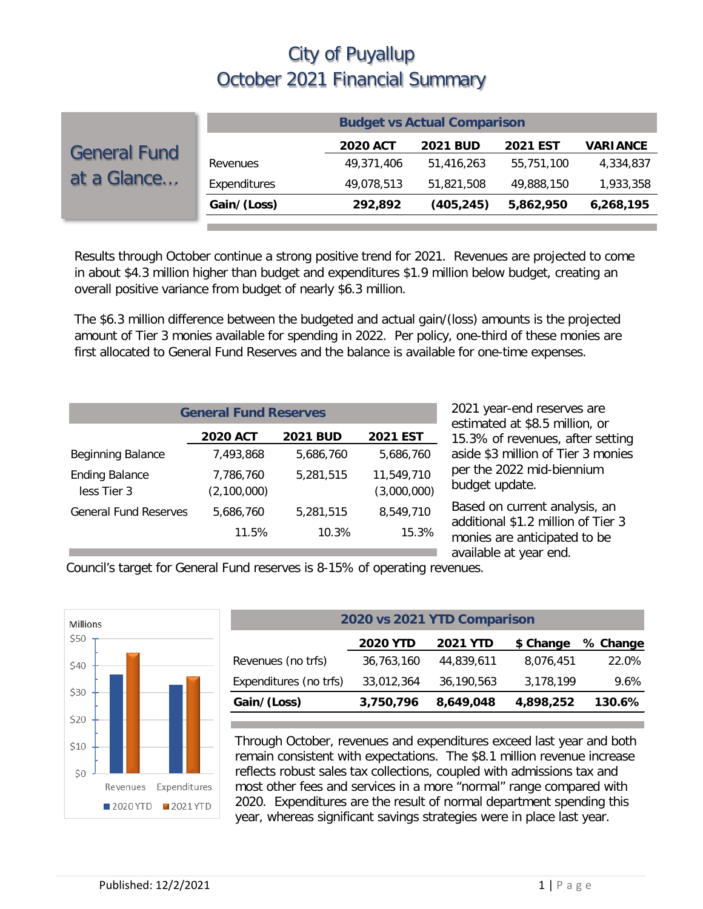|                                    | <b>Budget vs Actual Comparison</b> |                 |                 |                 |                 |  |
|------------------------------------|------------------------------------|-----------------|-----------------|-----------------|-----------------|--|
| <b>General Fund</b><br>at a Glance |                                    | <b>2020 ACT</b> | <b>2021 BUD</b> | <b>2021 EST</b> | <b>VARIANCE</b> |  |
|                                    | Revenues                           | 49,371,406      | 51,416,263      | 55,751,100      | 4,334,837       |  |
|                                    | Expenditures                       | 49,078,513      | 51,821,508      | 49,888,150      | 1,933,358       |  |
|                                    | Gain/(Loss)                        | 292,892         | (405, 245)      | 5,862,950       | 6,268,195       |  |

Results through October continue a strong positive trend for 2021. Revenues are projected to come in about \$4.3 million higher than budget and expenditures \$1.9 million below budget, creating an overall positive variance from budget of nearly \$6.3 million.

The \$6.3 million difference between the budgeted and actual gain/(loss) amounts is the projected amount of Tier 3 monies available for spending in 2022. Per policy, one-third of these monies are first allocated to General Fund Reserves and the balance is available for one-time expenses.

| <b>General Fund Reserves</b>         |                          |                 |                           |  |  |  |
|--------------------------------------|--------------------------|-----------------|---------------------------|--|--|--|
|                                      | <b>2020 ACT</b>          | <b>2021 BUD</b> | <b>2021 EST</b>           |  |  |  |
| <b>Beginning Balance</b>             | 7.493.868                | 5,686,760       | 5,686,760                 |  |  |  |
| <b>Ending Balance</b><br>less Tier 3 | 7,786,760<br>(2,100,000) | 5,281,515       | 11,549,710<br>(3,000,000) |  |  |  |
| <b>General Fund Reserves</b>         | 5.686.760                | 5,281,515       | 8,549,710                 |  |  |  |
|                                      | 11.5%                    | 10.3%           | 15.3%                     |  |  |  |

2021 year-end reserves are estimated at \$8.5 million, or 15.3% of revenues, after setting aside \$3 million of Tier 3 monies per the 2022 mid-biennium budget update.

Based on current analysis, an additional \$1.2 million of Tier 3 monies are anticipated to be available at year end.

Council's target for General Fund reserves is 8-15% of operating revenues.



| 2020 vs 2021 YTD Comparison |                 |                 |           |          |  |  |  |  |
|-----------------------------|-----------------|-----------------|-----------|----------|--|--|--|--|
|                             | <b>2020 YTD</b> | <b>2021 YTD</b> | \$ Change | % Change |  |  |  |  |
| Revenues (no trfs)          | 36,763,160      | 44,839,611      | 8,076,451 | 22.0%    |  |  |  |  |
| Expenditures (no trfs)      | 33,012,364      | 36,190,563      | 3,178,199 | 9.6%     |  |  |  |  |
| Gain/(Loss)                 | 3,750,796       | 8,649,048       | 4,898,252 | 130.6%   |  |  |  |  |

Through October, revenues and expenditures exceed last year and both remain consistent with expectations. The \$8.1 million revenue increase reflects robust sales tax collections, coupled with admissions tax and most other fees and services in a more "normal" range compared with 2020. Expenditures are the result of normal department spending this year, whereas significant savings strategies were in place last year.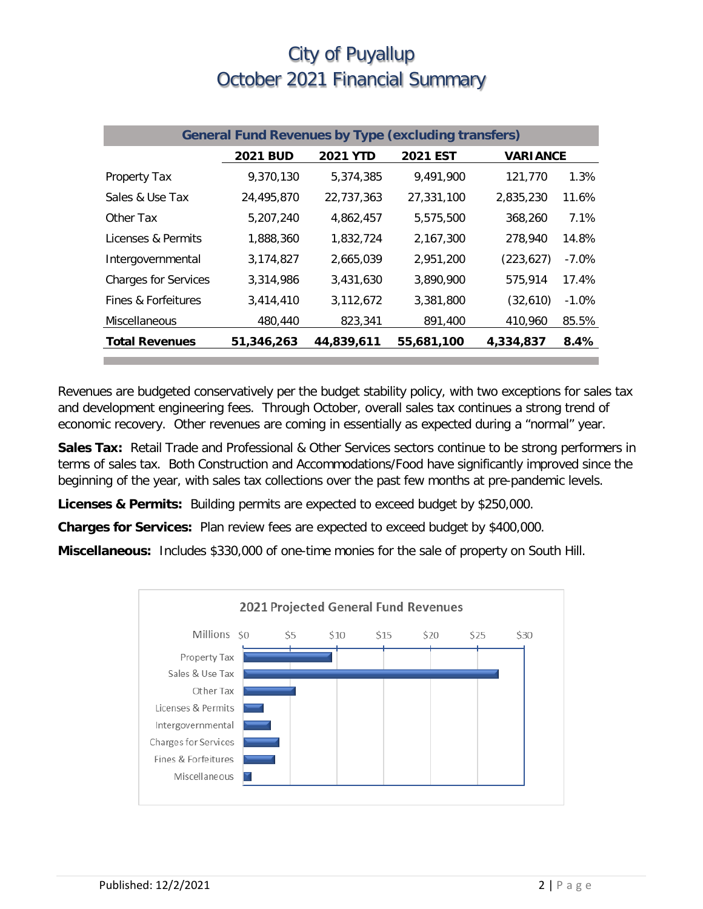| <b>General Fund Revenues by Type (excluding transfers)</b> |                 |                 |                 |                 |          |  |
|------------------------------------------------------------|-----------------|-----------------|-----------------|-----------------|----------|--|
|                                                            | <b>2021 BUD</b> | <b>2021 YTD</b> | <b>2021 EST</b> | <b>VARIANCE</b> |          |  |
| Property Tax                                               | 9,370,130       | 5,374,385       | 9,491,900       | 121,770         | 1.3%     |  |
| Sales & Use Tax                                            | 24,495,870      | 22,737,363      | 27,331,100      | 2,835,230       | 11.6%    |  |
| Other Tax                                                  | 5,207,240       | 4,862,457       | 5,575,500       | 368,260         | 7.1%     |  |
| Licenses & Permits                                         | 1,888,360       | 1,832,724       | 2,167,300       | 278,940         | 14.8%    |  |
| Intergovernmental                                          | 3,174,827       | 2,665,039       | 2,951,200       | (223, 627)      | $-7.0%$  |  |
| <b>Charges for Services</b>                                | 3,314,986       | 3,431,630       | 3,890,900       | 575,914         | 17.4%    |  |
| Fines & Forfeitures                                        | 3,414,410       | 3,112,672       | 3,381,800       | (32,610)        | $-1.0\%$ |  |
| Miscellaneous                                              | 480,440         | 823,341         | 891,400         | 410,960         | 85.5%    |  |
| <b>Total Revenues</b>                                      | 51,346,263      | 44,839,611      | 55,681,100      | 4,334,837       | 8.4%     |  |

Revenues are budgeted conservatively per the budget stability policy, with two exceptions for sales tax and development engineering fees. Through October, overall sales tax continues a strong trend of economic recovery. Other revenues are coming in essentially as expected during a "normal" year.

**Sales Tax:** Retail Trade and Professional & Other Services sectors continue to be strong performers in terms of sales tax. Both Construction and Accommodations/Food have significantly improved since the beginning of the year, with sales tax collections over the past few months at pre-pandemic levels.

**Licenses & Permits:** Building permits are expected to exceed budget by \$250,000.

**Charges for Services:** Plan review fees are expected to exceed budget by \$400,000.

**Miscellaneous:** Includes \$330,000 of one-time monies for the sale of property on South Hill.

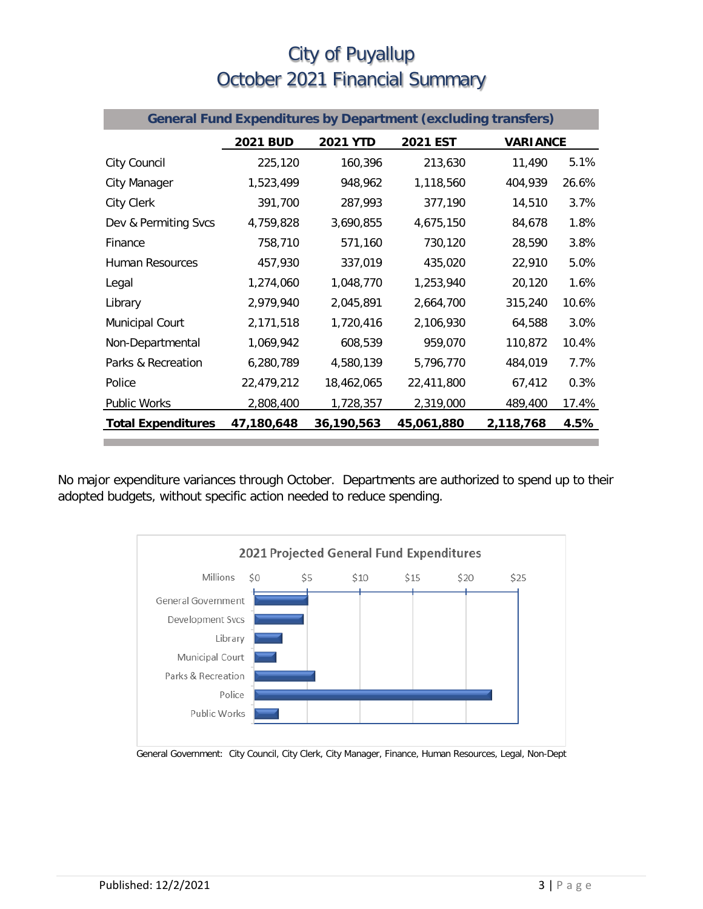|                           |                 |                 | <b>General Fund Expenditures by Department (excluding transfers)</b> |                 |       |
|---------------------------|-----------------|-----------------|----------------------------------------------------------------------|-----------------|-------|
|                           | <b>2021 BUD</b> | <b>2021 YTD</b> | 2021 EST                                                             | <b>VARIANCE</b> |       |
| City Council              | 225,120         | 160,396         | 213,630                                                              | 11,490          | 5.1%  |
| City Manager              | 1,523,499       | 948,962         | 1,118,560                                                            | 404,939         | 26.6% |
| <b>City Clerk</b>         | 391,700         | 287,993         | 377,190                                                              | 14,510          | 3.7%  |
| Dev & Permiting Svcs      | 4,759,828       | 3,690,855       | 4,675,150                                                            | 84,678          | 1.8%  |
| Finance                   | 758,710         | 571,160         | 730,120                                                              | 28,590          | 3.8%  |
| Human Resources           | 457,930         | 337,019         | 435,020                                                              | 22,910          | 5.0%  |
| Legal                     | 1,274,060       | 1,048,770       | 1,253,940                                                            | 20,120          | 1.6%  |
| Library                   | 2,979,940       | 2,045,891       | 2,664,700                                                            | 315,240         | 10.6% |
| <b>Municipal Court</b>    | 2,171,518       | 1,720,416       | 2,106,930                                                            | 64,588          | 3.0%  |
| Non-Departmental          | 1,069,942       | 608,539         | 959,070                                                              | 110,872         | 10.4% |
| Parks & Recreation        | 6,280,789       | 4,580,139       | 5,796,770                                                            | 484,019         | 7.7%  |
| Police                    | 22,479,212      | 18,462,065      | 22,411,800                                                           | 67,412          | 0.3%  |
| Public Works              | 2,808,400       | 1,728,357       | 2,319,000                                                            | 489,400         | 17.4% |
| <b>Total Expenditures</b> | 47,180,648      | 36,190,563      | 45,061,880                                                           | 2,118,768       | 4.5%  |

No major expenditure variances through October. Departments are authorized to spend up to their adopted budgets, without specific action needed to reduce spending.



General Government: City Council, City Clerk, City Manager, Finance, Human Resources, Legal, Non-Dept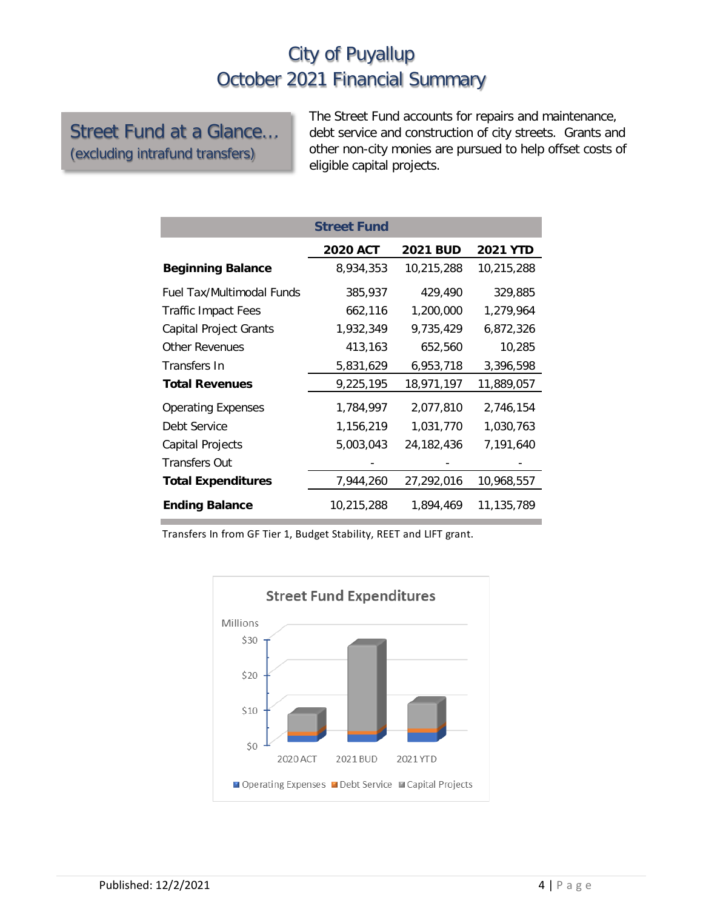Street Fund at a Glance… (excluding intrafund transfers)

The Street Fund accounts for repairs and maintenance, debt service and construction of city streets. Grants and other non-city monies are pursued to help offset costs of eligible capital projects.

|                            | <b>Street Fund</b> |                 |                 |
|----------------------------|--------------------|-----------------|-----------------|
|                            | <b>2020 ACT</b>    | <b>2021 BUD</b> | <b>2021 YTD</b> |
| <b>Beginning Balance</b>   | 8,934,353          | 10,215,288      | 10,215,288      |
| Fuel Tax/Multimodal Funds  | 385,937            | 429,490         | 329,885         |
| <b>Traffic Impact Fees</b> | 662,116            | 1,200,000       | 1,279,964       |
| Capital Project Grants     | 1,932,349          | 9,735,429       | 6,872,326       |
| <b>Other Revenues</b>      | 413,163            | 652,560         | 10,285          |
| Transfers In               | 5,831,629          | 6,953,718       | 3,396,598       |
| <b>Total Revenues</b>      | 9,225,195          | 18,971,197      | 11,889,057      |
| <b>Operating Expenses</b>  | 1,784,997          | 2,077,810       | 2,746,154       |
| Debt Service               | 1,156,219          | 1,031,770       | 1,030,763       |
| Capital Projects           | 5,003,043          | 24,182,436      | 7,191,640       |
| <b>Transfers Out</b>       |                    |                 |                 |
| <b>Total Expenditures</b>  | 7,944,260          | 27,292,016      | 10,968,557      |
| <b>Ending Balance</b>      | 10,215,288         | 1,894,469       | 11,135,789      |

Transfers In from GF Tier 1, Budget Stability, REET and LIFT grant.

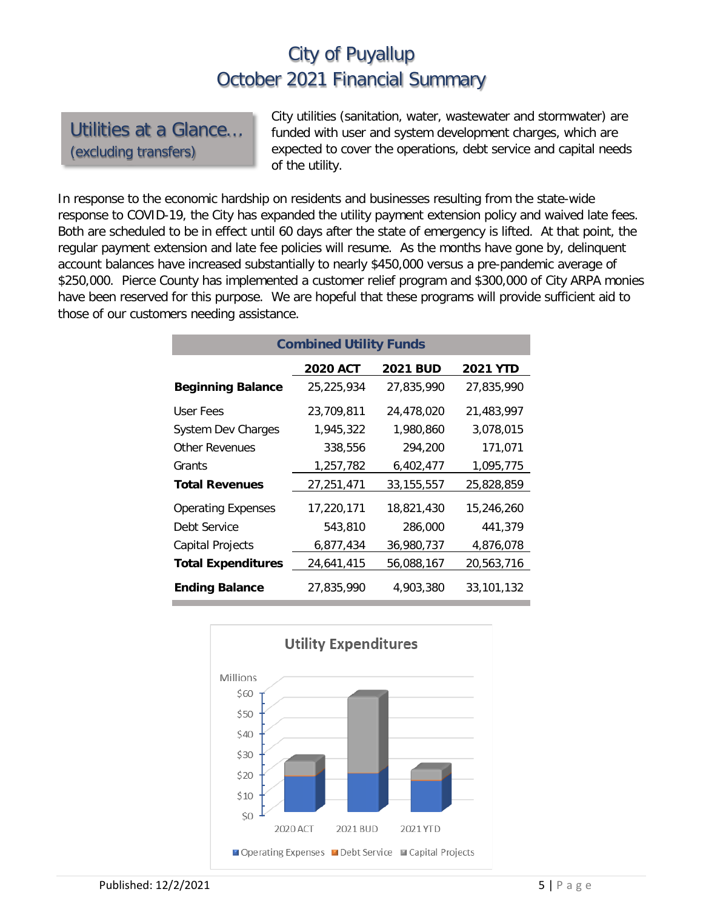Utilities at a Glance… (excluding transfers)

City utilities (sanitation, water, wastewater and stormwater) are funded with user and system development charges, which are expected to cover the operations, debt service and capital needs of the utility.

In response to the economic hardship on residents and businesses resulting from the state-wide response to COVID-19, the City has expanded the utility payment extension policy and waived late fees. Both are scheduled to be in effect until 60 days after the state of emergency is lifted. At that point, the regular payment extension and late fee policies will resume. As the months have gone by, delinquent account balances have increased substantially to nearly \$450,000 versus a pre-pandemic average of \$250,000. Pierce County has implemented a customer relief program and \$300,000 of City ARPA monies have been reserved for this purpose. We are hopeful that these programs will provide sufficient aid to those of our customers needing assistance.

| <b>Combined Utility Funds</b> |                 |                 |                 |  |  |  |  |
|-------------------------------|-----------------|-----------------|-----------------|--|--|--|--|
|                               | <b>2020 ACT</b> | <b>2021 BUD</b> | <b>2021 YTD</b> |  |  |  |  |
| <b>Beginning Balance</b>      | 25,225,934      | 27,835,990      | 27,835,990      |  |  |  |  |
| User Fees                     | 23,709,811      | 24,478,020      | 21,483,997      |  |  |  |  |
| <b>System Dev Charges</b>     | 1,945,322       | 1.980.860       | 3.078.015       |  |  |  |  |
| <b>Other Revenues</b>         | 338,556         | 294.200         | 171,071         |  |  |  |  |
| Grants                        | 1,257,782       | 6,402,477       | 1,095,775       |  |  |  |  |
| <b>Total Revenues</b>         | 27,251,471      | 33, 155, 557    | 25,828,859      |  |  |  |  |
| <b>Operating Expenses</b>     | 17,220,171      | 18,821,430      | 15,246,260      |  |  |  |  |
| Debt Service                  | 543,810         | 286,000         | 441,379         |  |  |  |  |
| <b>Capital Projects</b>       | 6,877,434       | 36,980,737      | 4,876,078       |  |  |  |  |
| <b>Total Expenditures</b>     | 24,641,415      | 56,088,167      | 20,563,716      |  |  |  |  |
| <b>Ending Balance</b>         | 27,835,990      | 4,903,380       | 33,101,132      |  |  |  |  |

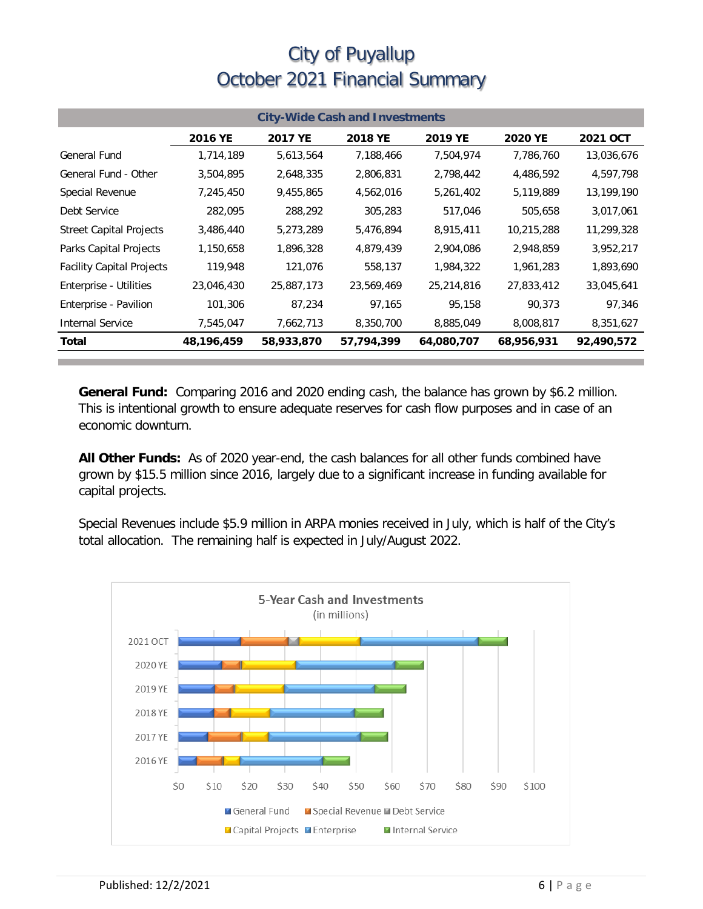| <b>City-Wide Cash and Investments</b> |              |            |                |            |            |                 |  |
|---------------------------------------|--------------|------------|----------------|------------|------------|-----------------|--|
|                                       | 2016 YE      | 2017 YE    | <b>2018 YE</b> | 2019 YE    | 2020 YE    | <b>2021 OCT</b> |  |
| <b>General Fund</b>                   | 1,714,189    | 5,613,564  | 7,188,466      | 7,504,974  | 7,786,760  | 13,036,676      |  |
| General Fund - Other                  | 3,504,895    | 2,648,335  | 2,806,831      | 2,798,442  | 4,486,592  | 4,597,798       |  |
| Special Revenue                       | 7,245,450    | 9,455,865  | 4,562,016      | 5,261,402  | 5,119,889  | 13,199,190      |  |
| Debt Service                          | 282,095      | 288,292    | 305,283        | 517,046    | 505,658    | 3,017,061       |  |
| <b>Street Capital Projects</b>        | 3,486,440    | 5,273,289  | 5,476,894      | 8,915,411  | 10,215,288 | 11,299,328      |  |
| Parks Capital Projects                | 1,150,658    | 1,896,328  | 4,879,439      | 2,904,086  | 2,948,859  | 3,952,217       |  |
| <b>Facility Capital Projects</b>      | 119,948      | 121,076    | 558,137        | 1,984,322  | 1,961,283  | 1,893,690       |  |
| Enterprise - Utilities                | 23,046,430   | 25,887,173 | 23,569,469     | 25,214,816 | 27,833,412 | 33,045,641      |  |
| Enterprise - Pavilion                 | 101,306      | 87,234     | 97,165         | 95,158     | 90,373     | 97,346          |  |
| Internal Service                      | 7,545,047    | 7,662,713  | 8,350,700      | 8,885,049  | 8,008,817  | 8,351,627       |  |
| Total                                 | 48, 196, 459 | 58,933,870 | 57,794,399     | 64,080,707 | 68,956,931 | 92,490,572      |  |

**General Fund:** Comparing 2016 and 2020 ending cash, the balance has grown by \$6.2 million. This is intentional growth to ensure adequate reserves for cash flow purposes and in case of an economic downturn.

**All Other Funds:** As of 2020 year-end, the cash balances for all other funds combined have grown by \$15.5 million since 2016, largely due to a significant increase in funding available for capital projects.

Special Revenues include \$5.9 million in ARPA monies received in July, which is half of the City's total allocation. The remaining half is expected in July/August 2022.